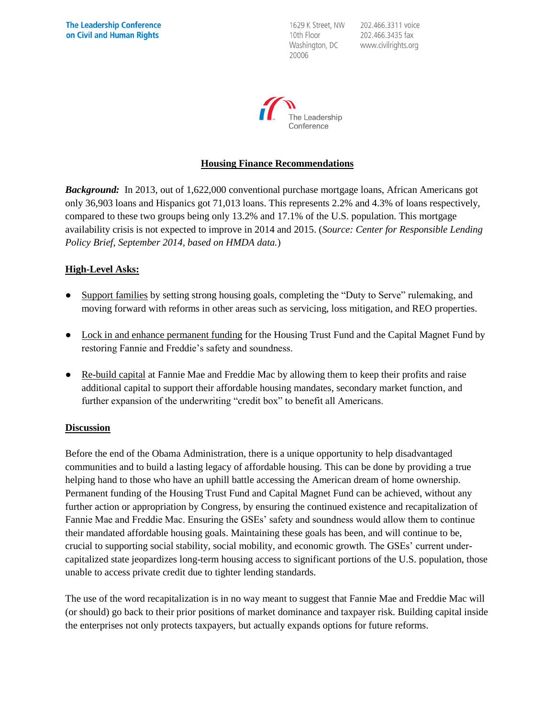1629 K Street, NW 10th Floor Washington, DC 20006

202.466.3311 voice 202.466.3435 fax www.civilrights.org



#### **Housing Finance Recommendations**

*Background:* In 2013, out of 1,622,000 conventional purchase mortgage loans, African Americans got only 36,903 loans and Hispanics got 71,013 loans. This represents 2.2% and 4.3% of loans respectively, compared to these two groups being only 13.2% and 17.1% of the U.S. population. This mortgage availability crisis is not expected to improve in 2014 and 2015. (*Source: Center for Responsible Lending Policy Brief, September 2014, based on HMDA data.*)

## **High-Level Asks:**

- Support families by setting strong housing goals, completing the "Duty to Serve" rulemaking, and moving forward with reforms in other areas such as servicing, loss mitigation, and REO properties.
- Lock in and enhance permanent funding for the Housing Trust Fund and the Capital Magnet Fund by restoring Fannie and Freddie's safety and soundness.
- Re-build capital at Fannie Mae and Freddie Mac by allowing them to keep their profits and raise additional capital to support their affordable housing mandates, secondary market function, and further expansion of the underwriting "credit box" to benefit all Americans.

#### **Discussion**

Before the end of the Obama Administration, there is a unique opportunity to help disadvantaged communities and to build a lasting legacy of affordable housing. This can be done by providing a true helping hand to those who have an uphill battle accessing the American dream of home ownership. Permanent funding of the Housing Trust Fund and Capital Magnet Fund can be achieved, without any further action or appropriation by Congress, by ensuring the continued existence and recapitalization of Fannie Mae and Freddie Mac. Ensuring the GSEs' safety and soundness would allow them to continue their mandated affordable housing goals. Maintaining these goals has been, and will continue to be, crucial to supporting social stability, social mobility, and economic growth. The GSEs' current undercapitalized state jeopardizes long-term housing access to significant portions of the U.S. population, those unable to access private credit due to tighter lending standards.

The use of the word recapitalization is in no way meant to suggest that Fannie Mae and Freddie Mac will (or should) go back to their prior positions of market dominance and taxpayer risk. Building capital inside the enterprises not only protects taxpayers, but actually expands options for future reforms.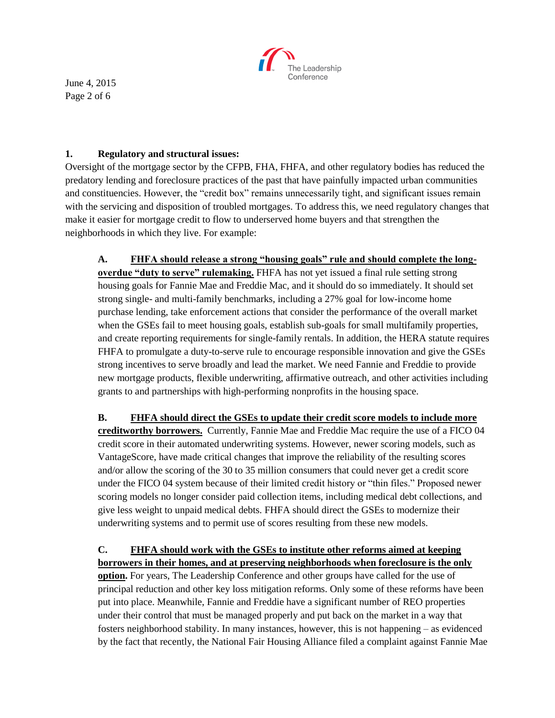

June 4, 2015 Page 2 of 6

#### **1. Regulatory and structural issues:**

Oversight of the mortgage sector by the CFPB, FHA, FHFA, and other regulatory bodies has reduced the predatory lending and foreclosure practices of the past that have painfully impacted urban communities and constituencies. However, the "credit box" remains unnecessarily tight, and significant issues remain with the servicing and disposition of troubled mortgages. To address this, we need regulatory changes that make it easier for mortgage credit to flow to underserved home buyers and that strengthen the neighborhoods in which they live. For example:

**A. FHFA should release a strong "housing goals" rule and should complete the longoverdue "duty to serve" rulemaking.** FHFA has not yet issued a final rule setting strong housing goals for Fannie Mae and Freddie Mac, and it should do so immediately. It should set strong single- and multi-family benchmarks, including a 27% goal for low-income home purchase lending, take enforcement actions that consider the performance of the overall market when the GSEs fail to meet housing goals, establish sub-goals for small multifamily properties, and create reporting requirements for single-family rentals. In addition, the HERA statute requires FHFA to promulgate a duty-to-serve rule to encourage responsible innovation and give the GSEs strong incentives to serve broadly and lead the market. We need Fannie and Freddie to provide new mortgage products, flexible underwriting, affirmative outreach, and other activities including grants to and partnerships with high-performing nonprofits in the housing space.

**B. FHFA should direct the GSEs to update their credit score models to include more creditworthy borrowers.** Currently, Fannie Mae and Freddie Mac require the use of a FICO 04 credit score in their automated underwriting systems. However, newer scoring models, such as VantageScore, have made critical changes that improve the reliability of the resulting scores and/or allow the scoring of the 30 to 35 million consumers that could never get a credit score under the FICO 04 system because of their limited credit history or "thin files." Proposed newer scoring models no longer consider paid collection items, including medical debt collections, and give less weight to unpaid medical debts. FHFA should direct the GSEs to modernize their underwriting systems and to permit use of scores resulting from these new models.

# **C. FHFA should work with the GSEs to institute other reforms aimed at keeping**

**borrowers in their homes, and at preserving neighborhoods when foreclosure is the only option.** For years, The Leadership Conference and other groups have called for the use of principal reduction and other key loss mitigation reforms. Only some of these reforms have been put into place. Meanwhile, Fannie and Freddie have a significant number of REO properties under their control that must be managed properly and put back on the market in a way that fosters neighborhood stability. In many instances, however, this is not happening – as evidenced by the fact that recently, the National Fair Housing Alliance filed a complaint against Fannie Mae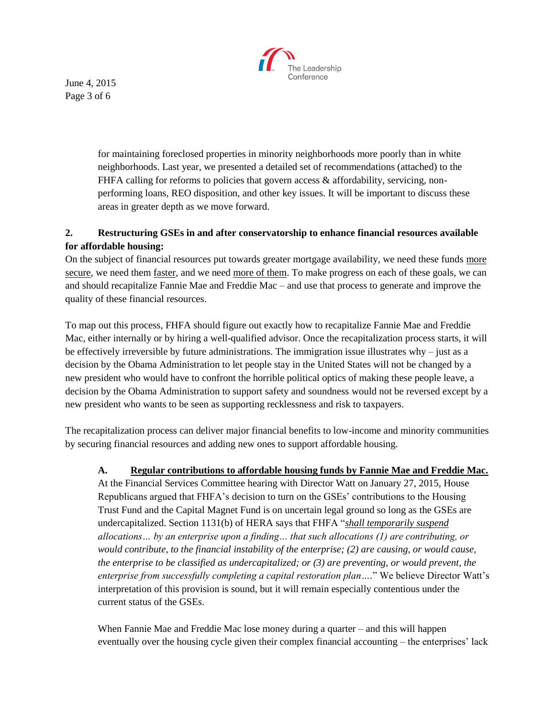

June 4, 2015 Page 3 of 6

> for maintaining foreclosed properties in minority neighborhoods more poorly than in white neighborhoods. Last year, we presented a detailed set of recommendations (attached) to the FHFA calling for reforms to policies that govern access  $\&$  affordability, servicing, nonperforming loans, REO disposition, and other key issues. It will be important to discuss these areas in greater depth as we move forward.

## **2. Restructuring GSEs in and after conservatorship to enhance financial resources available for affordable housing:**

On the subject of financial resources put towards greater mortgage availability, we need these funds more secure, we need them faster, and we need more of them. To make progress on each of these goals, we can and should recapitalize Fannie Mae and Freddie Mac – and use that process to generate and improve the quality of these financial resources.

To map out this process, FHFA should figure out exactly how to recapitalize Fannie Mae and Freddie Mac, either internally or by hiring a well-qualified advisor. Once the recapitalization process starts, it will be effectively irreversible by future administrations. The immigration issue illustrates why – just as a decision by the Obama Administration to let people stay in the United States will not be changed by a new president who would have to confront the horrible political optics of making these people leave, a decision by the Obama Administration to support safety and soundness would not be reversed except by a new president who wants to be seen as supporting recklessness and risk to taxpayers.

The recapitalization process can deliver major financial benefits to low-income and minority communities by securing financial resources and adding new ones to support affordable housing.

## **A. Regular contributions to affordable housing funds by Fannie Mae and Freddie Mac.**

At the Financial Services Committee hearing with Director Watt on January 27, 2015, House Republicans argued that FHFA's decision to turn on the GSEs' contributions to the Housing Trust Fund and the Capital Magnet Fund is on uncertain legal ground so long as the GSEs are undercapitalized. Section 1131(b) of HERA says that FHFA "*shall temporarily suspend allocations… by an enterprise upon a finding… that such allocations (1) are contributing, or would contribute, to the financial instability of the enterprise; (2) are causing, or would cause, the enterprise to be classified as undercapitalized; or (3) are preventing, or would prevent, the enterprise from successfully completing a capital restoration plan….*" We believe Director Watt's interpretation of this provision is sound, but it will remain especially contentious under the current status of the GSEs.

When Fannie Mae and Freddie Mac lose money during a quarter – and this will happen eventually over the housing cycle given their complex financial accounting – the enterprises' lack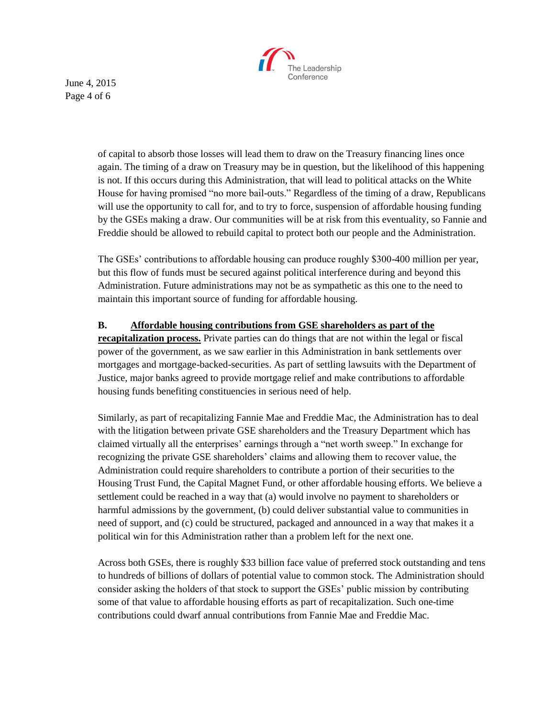

June 4, 2015 Page 4 of 6

> of capital to absorb those losses will lead them to draw on the Treasury financing lines once again. The timing of a draw on Treasury may be in question, but the likelihood of this happening is not. If this occurs during this Administration, that will lead to political attacks on the White House for having promised "no more bail-outs." Regardless of the timing of a draw, Republicans will use the opportunity to call for, and to try to force, suspension of affordable housing funding by the GSEs making a draw. Our communities will be at risk from this eventuality, so Fannie and Freddie should be allowed to rebuild capital to protect both our people and the Administration.

The GSEs' contributions to affordable housing can produce roughly \$300-400 million per year, but this flow of funds must be secured against political interference during and beyond this Administration. Future administrations may not be as sympathetic as this one to the need to maintain this important source of funding for affordable housing.

#### **B. Affordable housing contributions from GSE shareholders as part of the**

**recapitalization process.** Private parties can do things that are not within the legal or fiscal power of the government, as we saw earlier in this Administration in bank settlements over mortgages and mortgage-backed-securities. As part of settling lawsuits with the Department of Justice, major banks agreed to provide mortgage relief and make contributions to affordable housing funds benefiting constituencies in serious need of help.

Similarly, as part of recapitalizing Fannie Mae and Freddie Mac, the Administration has to deal with the litigation between private GSE shareholders and the Treasury Department which has claimed virtually all the enterprises' earnings through a "net worth sweep." In exchange for recognizing the private GSE shareholders' claims and allowing them to recover value, the Administration could require shareholders to contribute a portion of their securities to the Housing Trust Fund, the Capital Magnet Fund, or other affordable housing efforts. We believe a settlement could be reached in a way that (a) would involve no payment to shareholders or harmful admissions by the government, (b) could deliver substantial value to communities in need of support, and (c) could be structured, packaged and announced in a way that makes it a political win for this Administration rather than a problem left for the next one.

Across both GSEs, there is roughly \$33 billion face value of preferred stock outstanding and tens to hundreds of billions of dollars of potential value to common stock. The Administration should consider asking the holders of that stock to support the GSEs' public mission by contributing some of that value to affordable housing efforts as part of recapitalization. Such one-time contributions could dwarf annual contributions from Fannie Mae and Freddie Mac.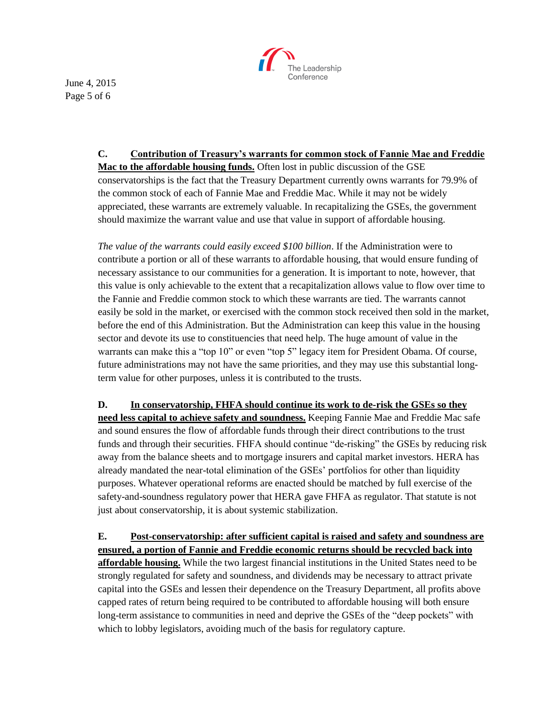

June 4, 2015 Page 5 of 6

## **C. Contribution of Treasury's warrants for common stock of Fannie Mae and Freddie**

**Mac to the affordable housing funds.** Often lost in public discussion of the GSE conservatorships is the fact that the Treasury Department currently owns warrants for 79.9% of the common stock of each of Fannie Mae and Freddie Mac. While it may not be widely appreciated, these warrants are extremely valuable. In recapitalizing the GSEs, the government should maximize the warrant value and use that value in support of affordable housing.

*The value of the warrants could easily exceed \$100 billion*. If the Administration were to contribute a portion or all of these warrants to affordable housing, that would ensure funding of necessary assistance to our communities for a generation. It is important to note, however, that this value is only achievable to the extent that a recapitalization allows value to flow over time to the Fannie and Freddie common stock to which these warrants are tied. The warrants cannot easily be sold in the market, or exercised with the common stock received then sold in the market, before the end of this Administration. But the Administration can keep this value in the housing sector and devote its use to constituencies that need help. The huge amount of value in the warrants can make this a "top 10" or even "top 5" legacy item for President Obama. Of course, future administrations may not have the same priorities, and they may use this substantial longterm value for other purposes, unless it is contributed to the trusts.

**D. In conservatorship, FHFA should continue its work to de-risk the GSEs so they need less capital to achieve safety and soundness.** Keeping Fannie Mae and Freddie Mac safe and sound ensures the flow of affordable funds through their direct contributions to the trust funds and through their securities. FHFA should continue "de-risking" the GSEs by reducing risk away from the balance sheets and to mortgage insurers and capital market investors. HERA has already mandated the near-total elimination of the GSEs' portfolios for other than liquidity purposes. Whatever operational reforms are enacted should be matched by full exercise of the safety-and-soundness regulatory power that HERA gave FHFA as regulator. That statute is not just about conservatorship, it is about systemic stabilization.

**E. Post-conservatorship: after sufficient capital is raised and safety and soundness are ensured, a portion of Fannie and Freddie economic returns should be recycled back into affordable housing.** While the two largest financial institutions in the United States need to be strongly regulated for safety and soundness, and dividends may be necessary to attract private capital into the GSEs and lessen their dependence on the Treasury Department, all profits above capped rates of return being required to be contributed to affordable housing will both ensure long-term assistance to communities in need and deprive the GSEs of the "deep pockets" with which to lobby legislators, avoiding much of the basis for regulatory capture.